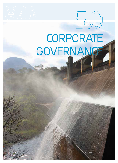# **CORPORATE GOVERNANCE**

**5.O**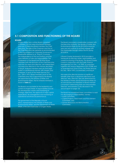### **5.1 COMPOSITION AND FUNCTIONING OF THE BOARD**

#### **BOARD**

Umgeni Water has a unitary Board comprised of thirteen (13) non-executive Board members and one (1) Executive Board member, the Chief Executive. The roles of the Chairman and that of the Chief Executive are separate as recommended in the King III Report on Corporate Governance (hereinafter referred to as "King III") to ensure the independence of the two positions and the clear definition of roles and responsibilities. The Chairperson of the Board and all other Board members (with the exclusion of the Chief Executive and one non-executive director), are independent non-executive directors in the manner described in King III. All Board members execute their legal duties in a professional manner, with integrity and enterprise. In terms of the Water Services Act (No. 108 of 1997), Board members (save for the Chief Executive who is appointed by the Board) are appointed by the Minister of Water and Environmental Affairs. The list of Board members is shown in **Table 5.1.**

The Board is accountable for the leadership and control of Umgeni Water. Its responsibilities include the development, review and monitoring of strategic objectives, the approval of major capital expenditure, risk management and monitoring of operational and financial performance.

The government of the Republic of South Africa, represented by the Minister of Water and Environmental Affairs, and the Department of Water Affairs, is the sole shareholder of Umgeni Water.

The Board concluded a shareholder compact with the Executive Authority, the Minister of Water and Environmental Affairs for the 2013/2014 financial year and will continue to actively engage with the shareholder through various forums during 2013/2014.

A Board Charter (reviewed in 2012) provides a framework for fiduciary duties, responsibilities and overall functioning of the Board. The Board Charter, is read in conjunction with the Public Finance Management Act (No. 1 of 1999), as amended together with Treasury Regulations (GG 27338) and as amended from time to time, the Water Services Act (No. 108 of 1997), as amended, and King III.

Non-executive directors receive no significant benefits other than a cell phone allowance and directors' fees. Directors' fees are determined by the Minister of Water and Environmental Affairs on an annual basis and therefore no Board member is involved in determining their own remuneration. Directors' remuneration is fully disclosed in this annual report on page 123.

The Board has established three committees to assist it in discharging its responsibilities, namely:

- Audit Committee,
- Capital Projects, Fixed Assets and Procurement Committee, and
- Human Resources and Remuneration Committee.



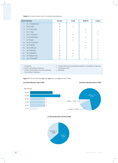**Table 5.1:** Current Board and Committee Memberships

|                  | <b>Board Member</b>          | Gender | Audit        | <b>REMCO</b> | Capex        |
|------------------|------------------------------|--------|--------------|--------------|--------------|
| 1.               | Mr A Mahlalutye <sup>1</sup> | M      |              |              |              |
| 2.               | Prof I Vally <sup>2</sup>    | M      | $\checkmark$ |              |              |
| 3.               | Mr V Gounden                 | M      |              | $\checkmark$ |              |
| $\overline{4}$ . | Ms T Shezi                   | F      |              | $\checkmark$ |              |
| 5.               | Ms N Afolayan <sup>3</sup>   | F      | $\checkmark$ |              |              |
| 6.               | Ms Z Mathenjwa               | F      | $\checkmark$ | $\checkmark$ |              |
| 7.               | Dr T Dube                    | F      | $\checkmark$ |              | $\checkmark$ |
| 8.               | Ms N Chamane <sup>4</sup>    | F      |              | $\checkmark$ |              |
| 9.               | Mr V Reddy                   | M      |              | $\checkmark$ | $\checkmark$ |
| 10.              | Mr G Atkinson                | M      |              | $\checkmark$ | $\checkmark$ |
| 11.              | Mr T Nkhahle                 | M      | $\checkmark$ |              | $\checkmark$ |
| 12.              | Mr I Nxedlana                | M      | $\checkmark$ |              | $\checkmark$ |
| 13.              | Mr Thabani Zulu              | M      | $\checkmark$ |              | $\checkmark$ |
| 14.              | Mr C Gamede <sup>5</sup>     | M      |              | $\checkmark$ | $\checkmark$ |

- 
- $2$  Audit Committee Chairman
- <sup>1</sup> Chairman  $1 4$  Human Resources and Remuneration Committee Chairman  $2 4$  Audit Committee Chairman  $1 5$  Chief Executive
	-
- <sup>3</sup> Capex, Fixed Assets and Procurement Committee Chairman
- $\smile$  Member

(a) Board Member Age Profile **and Accelerate and Accelerate Contact Contact Contact Contact Contact Contact Contact Contact Contact Contact Contact Contact Contact Contact Contact Contact Contact Contact Contact Contact Co** 

Figure 5.1: Board Member (a) Age, (b) Race and (c) Gender Profiles



#### **(c) Board Member Gender Profi le**



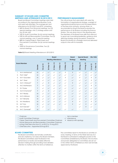#### **SUMMARY OF BOARD AND COMMITTEE MEETINGS AND ATTENDANCE IN 2012/2013**

Board and Board Committee meetings were held according to the organisational Business Cycle and were well attended. The average per cent attendance for 2012/2013 was 87%, comprising:

- 86% for Board: Five (5)normal meetings, two (2) special meetings, one (1) strategy session and two (2) site visits,
- 74% for Audit Committee: Six (6) normal meetings,
- 93% for HR and Remuneration Committee: Five (5) normal meetings, one (1) special meeting,
- 88% for Capital Projects, Fixed Assets and Procurement Committee: Six (6) normal meetings, and
- 100% for Governance Committee. Two (2) normal meetings.

| <b>Table 5.2:</b> Board Meeting Attendance in 2012/2013 |
|---------------------------------------------------------|
|---------------------------------------------------------|

#### **PERFORMANCE MANAGEMENT**

The critical issues that were dealt with were the formulation of organisational strategy, oversight of organisational performance and the expectations of the Executive Authority, among others. As recomended by King III the Board evaluates the performance of all divisions including the finance division. This was done twice in the reporting year. The Members of the Board have skills that were put to good use in providing leadership, guidance and directing strategy during the period. Overall the Board functioned at a strategic level and delivered outputs in line with its mandate.

| <b>Board</b><br><b>Meeting Attendance</b>                                                                                                                                                                                                                                                                                                                                                                                 |                              |        |                          | <b>Board</b><br><b>Strategy</b> | <b>Special Board</b><br>Meeting |              | <b>Site Visits</b>       |                          |                |                          |                          |              |
|---------------------------------------------------------------------------------------------------------------------------------------------------------------------------------------------------------------------------------------------------------------------------------------------------------------------------------------------------------------------------------------------------------------------------|------------------------------|--------|--------------------------|---------------------------------|---------------------------------|--------------|--------------------------|--------------------------|----------------|--------------------------|--------------------------|--------------|
| <b>Board Member</b>                                                                                                                                                                                                                                                                                                                                                                                                       |                              | Gender | $18 - 101 - 12$          | 26-Sep-12                       | 21-Nov-12                       | 13-Mar-13    | $15-May-13$              | 26-Feb-13                | 08-Aug-12      | 14-Aug-12                | $12 - Jul - 12$          | $1 - Dec-12$ |
| 1.                                                                                                                                                                                                                                                                                                                                                                                                                        | Mr A Mahlalutye <sup>1</sup> | M      | $\checkmark$             | $\checkmark$                    | $\checkmark$                    | $\checkmark$ | $\neq$                   | $\neq$                   | $\checkmark$   | $\checkmark$             | $\checkmark$             | $\checkmark$ |
| 2.                                                                                                                                                                                                                                                                                                                                                                                                                        | Prof I Vally <sup>2</sup>    | M      | $\checkmark$             | $\checkmark$                    | $\checkmark$                    | $\checkmark$ | $\checkmark$             | $\checkmark$             | $\checkmark$   | $\neq$                   | $\checkmark$             | $\checkmark$ |
| 3.                                                                                                                                                                                                                                                                                                                                                                                                                        | Mr V Gounden                 | M      | $\checkmark$             | $\checkmark$                    | $\checkmark$                    | $\checkmark$ | $\neq$                   | $\checkmark$             | $\neq$         | $\checkmark$             | $\neq$                   | $\neq$       |
| 4.                                                                                                                                                                                                                                                                                                                                                                                                                        | Ms T Shezi                   | F      | $\checkmark$             | $\checkmark$                    | $\checkmark$                    | $\checkmark$ | $\checkmark$             | $\checkmark$             | $\checkmark$   | $\checkmark$             | $\neq$                   | $\checkmark$ |
| 5.                                                                                                                                                                                                                                                                                                                                                                                                                        | Ms N Afolayan <sup>3</sup>   | F      | $\checkmark$             | $\neq$                          | $\checkmark$                    | $\checkmark$ | $\checkmark$             | $\neq$                   | $\checkmark$   | $\checkmark$             | $\checkmark$             | $\neq$       |
| 6.                                                                                                                                                                                                                                                                                                                                                                                                                        | Ms Z Mathenjwa               | F      | $\neq$                   | $\checkmark$                    | $\checkmark$                    | $\checkmark$ | $\checkmark$             | $\checkmark$             | $\checkmark$   | $\checkmark$             | $\neq$                   | $\neq$       |
| 7.                                                                                                                                                                                                                                                                                                                                                                                                                        | Dr T Dube                    | F      | $\checkmark$             | $\checkmark$                    | $\checkmark$                    | $\checkmark$ | $\checkmark$             | $\checkmark$             | $\checkmark$   | $\checkmark$             | $\checkmark$             | $\checkmark$ |
| 8.                                                                                                                                                                                                                                                                                                                                                                                                                        | Ms N Chamane <sup>4</sup>    | F      | $\checkmark$             | $\neq$                          | $\checkmark$                    | $\checkmark$ | $\checkmark$             | $\checkmark$             | $\checkmark$   | $\checkmark$             | $\checkmark$             | $\checkmark$ |
| 9.                                                                                                                                                                                                                                                                                                                                                                                                                        | Mr V Reddy                   | M      | $\checkmark$             | $\checkmark$                    | $\checkmark$                    | $\checkmark$ | $\checkmark$             | $\checkmark$             | $\checkmark$   | $\checkmark$             | $\checkmark$             | $\checkmark$ |
| 10.                                                                                                                                                                                                                                                                                                                                                                                                                       | Mr G Atkinson                | M      | $\checkmark$             | $\checkmark$                    | $\checkmark$                    | $\checkmark$ | $\checkmark$             | $\checkmark$             | $\checkmark$   | $\checkmark$             | $\checkmark$             | $\checkmark$ |
| 11.                                                                                                                                                                                                                                                                                                                                                                                                                       | Mr T Nkhahle                 | M      | $\checkmark$             | $\checkmark$                    | $\checkmark$                    | $\checkmark$ | $\checkmark$             | $\checkmark$             | $\checkmark$   | $\neq$                   | $\checkmark$             | $\checkmark$ |
| 12.                                                                                                                                                                                                                                                                                                                                                                                                                       | Mr I Nxedlana                | M      | $\checkmark$             | $\checkmark$                    | $\checkmark$                    | $\checkmark$ | $\checkmark$             | $\neq$                   | $\neq$         | $\checkmark$             | $\neq$                   | $\neq$       |
| 13.                                                                                                                                                                                                                                                                                                                                                                                                                       | Mr T Zulu                    | M      | $\checkmark$             | $\checkmark$                    | $\checkmark$                    | $\checkmark$ | $\checkmark$             | $\neq$                   | $\checkmark$   | $\neq$                   | $\checkmark$             | $\checkmark$ |
| 14.                                                                                                                                                                                                                                                                                                                                                                                                                       | Ms N Gevers <sup>5</sup>     | F      | $\checkmark$             | $\overline{\phantom{a}}$        | $\overline{\phantom{a}}$        |              | $\overline{\phantom{a}}$ | $\overline{\phantom{a}}$ | $\checkmark$   | $\neq$                   | $\checkmark$             |              |
| 15.                                                                                                                                                                                                                                                                                                                                                                                                                       | Mr C Gamede <sup>6</sup>     | M      | $\overline{\phantom{a}}$ | $\checkmark$                    | $\checkmark$                    | $\checkmark$ | $\checkmark$             | $\checkmark$             | $\overline{a}$ | $\overline{\phantom{a}}$ | $\overline{\phantom{a}}$ | $\checkmark$ |
|                                                                                                                                                                                                                                                                                                                                                                                                                           |                              |        |                          |                                 |                                 |              |                          |                          |                |                          |                          |              |
| 1<br>Chairman<br>Not a member<br>$\overline{\phantom{a}}$<br><sup>2</sup> Audit Committee Chairman<br>Attendance<br>$\checkmark$<br>3<br>Capex, Fixed Assets and Procurement Committee Chairman<br>Absence with apology<br>$\neq$<br>$\overline{4}$<br>Human Resources and Remuneration Committee Chairman<br>5<br>Acting Chief Executive from 01-Jul-2012 to 19-Aug-2012<br>6<br>Chief Executive - Appointed 20-Aug-2012 |                              |        |                          |                                 |                                 |              |                          |                          |                |                          |                          |              |

- $2$  Audit Committee Chairman  $\sqrt{2}$  Attendance
- 3 Capex, Fixed Assets and Procurement Committee Chairman  $\neq$  Absence with apology
- <sup>4</sup> Human Resources and Remuneration Committee Chairman
- <sup>5</sup> Acting Chief Executive from 01-Jul-2012 to 19-Aug-2012
- 
- <sup>1</sup> Chairman Not a member
	-
	-

#### **BOARD COMMITTEES**

The Board Committees are formally constituted and are chaired by non-executive Board members. The Board Committees assist the Board in the performance of duties and enables effective decision-making through providing more detailed attention to matters within the terms of reference.

The committees report to the Board on activities at every meeting. In terms of the Water Services Act, the Board is authorised to delegate powers to the Committees established by the Board. The functions and powers delegated to Committees are set out in the written Terms of Reference which are formally approved by the Board.

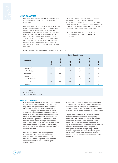#### **AUDIT COMMITTEE**

The Committee consists of seven (7) non-executive Board members and its chairman is Professor Imtiaz Vally.

The Committee is mandated to achieve the highest level of financial management, accounting and reporting to the shareholder and to meet the requirements prescribed in section 51(1)(a)(ii) and 76(4)(d) of the Public Finance Management Act (No. 29 of 1999), as well as Treasury Regulations, 2005 (Chapter 27.1). The Audit Committee further performs a critical function of risk management by ensuring the effectiveness, quality, integrity and reliability of Umgeni Water's risk management processes.

The terms of reference of the Audit Committee takes into account the recommendations in King III, the Companies Act (No. 71 of 2008), the Public Finance Management Act (No. 29 of 1999) as amended and Treasury Regulations, 2005, to ensure alignment to best practice and legislation.

The Ethics Committee and Corporate Risk Committee also report through the Audit Committee.

**Table 5.3:** Audit Committee Meeting Attendance 2012/2013

|                           | <b>Committee Meetings</b>      |                             |                       |                 |              |                 |  |  |  |
|---------------------------|--------------------------------|-----------------------------|-----------------------|-----------------|--------------|-----------------|--|--|--|
| <b>Members</b>            | $\mathbf{\Omega}$<br>$10-$ Sep | $\mathbf{\Omega}$<br>07-Nov | S<br>Feb.<br>$27 - 1$ | S<br>-Mar<br>27 | S<br>29-May  | $26 - Jun - 13$ |  |  |  |
| Prof I Vally <sup>1</sup> | $\checkmark$                   | $\checkmark$                | $\checkmark$          | $\checkmark$    | $\neq$       | $\checkmark$    |  |  |  |
| Ms N Afolayan             | $\checkmark$                   |                             | $\neq$                |                 | $\checkmark$ | $\neq$          |  |  |  |
| Mr I Nxedlana             | $\checkmark$                   | $\checkmark$                | $\neq$                | $\neq$          | $\sqrt{2}$   | $\neq$          |  |  |  |
| Mr T Nkhahle              | $\checkmark$                   | $\neq$                      | $\checkmark$          |                 | $\checkmark$ |                 |  |  |  |
| Ms Z Mathenjwa            | $\checkmark$                   |                             | $\neq$                |                 | $\neq$       |                 |  |  |  |
| Dr T Dube                 | $\checkmark$                   |                             | $\checkmark$          |                 | $\checkmark$ |                 |  |  |  |
| Mr T Zulu                 | $\neq$                         |                             |                       |                 |              | $\neq$          |  |  |  |

<sup>1</sup> Chairman

 $\angle$  Attendance

≠ Absence with apology

#### **ETHICS COMMITTEE**

King III and the Companies Act No. 71 of 2008, read in conjunction with regulation 43 of Companies Regulations, oblige all state-owned enterprises to establish a Social and Ethics Committee. In 2012/2013 Umgeni Water established an Ethics Committee with a mandate to promote ethical behaviour, which includes preventing incidences of fraud, bribery and other corrupt activities and to monitor the organisation's compliance with relevant social, ethical and legal requirements and best practice codes. The establishment of the committee shows a deepened commitment by Umgeni Water as a responsible corporate citizen to all its stakeholders.

The Ethics Committee has an Independent Chairperson - who is neither a member of management nor a member of the Board. The Ethics Committee reports matters within its scope of mandate to the Board through the Audit Committee.

In the 2012/2013 period Umgeni Water developed and communicated a new Code of Ethics which establishes a set of principles to promote and encourage ethical behaviour and decision-making by all employees, board members and stakeholders.

Umgeni Water continues to provide an external whistle-blowing hotline service managed by an external service provider. This facility provides an anonymous and confidential communication channel for all customers and stakeholders to report perceived misconduct or observed unethical conduct. All hotline calls are investigated and appropriately followed through using a fraud assessment protocol developed for this purpose. Information is further used to improve internal controls to ensure fraud is addressed appropriately and timely.

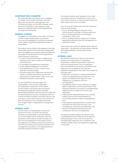#### **CORPORATE RISK COMMITTEE**

The Corporate Risk Committee, which comprises a member of the Audit Committee, the Chief Executive, the Executive Management, the Company Secretary and the Risk Manager, assists the Audit Committee in discharging its duties relating to implementation of the integrated risk management framework.

#### **INTERNAL CONTROL**

The Board is accountable for the system of internal control. Umgeni Water policies, procedures, structures and delegation of authority frameworks clearly define and provide appropriate levels of responsibility.

The internal control systems are designed to provide reasonable assurance that assets are safeguarded and that liabilities and working capital are efficiently managed. Principal features of the organisation's internal finance controls are:

- A system of financial planning, budgeting and reporting which allows continuous monitoring of performance,
- A materiality and significance framework,
- Clearly-defined delegations of authority,
- The establishment of a short, medium and long-term funding strategy,
- The tariff model which determines the financial impact of capital expenditure and the bulk water tariff on Umgeni Water's debt curve, and
- Established policies and procedures.

To assist the Board in the discharge of its responsibilities, Internal Audit undertakes an independent assessment of the internal control systems and business risks and reports to the Board through the Audit Committee. SizweNtsalubaGobodo were the internal auditors for the reporting period and has membership with the Institute of Internal Auditors South Africa (IIA SA). The audit plan covers major financial and commercial risks and responds to any changes emanating from Umgeni Water's integrated risk management process.

#### **INTERNAL AUDIT**

Internal Audit is an independent outsourced assurance function, for which the purpose, authority and responsibility is formally defined in a charter approved by the Board in line with stipulations of the Institute of Internal Auditors. In line with the requirements of the Public Finance Management Act (PFMA) and Good Governance, the internal auditors give the audit committee and management assurance on the appropriateness and effectiveness of internal controls.

The internal auditors report regularly to the Audit Committee and have unrestricted access to the Committee chairman. An internal audit charter has been approved by the Committee.

As at 30 June 2013 there were three (3) unresolved internal audit findings:

- One (1) finding relating to elements of the human resources strategy not being approved,
- One (1) finding relating to environmental compliance system, and
- One (1) finding relating to adequacy of capital expenditure planning inputs for management of operational assets.

Action plans are in place to address all key internal audit issues. The resolution of these will be achieved with implementation of action plans during 2013/2014.

#### **EXTERNAL AUDIT**

The Auditor-General South Africa is the external auditor and is responsible for undertaking procedures to obtain audit evidence about the amounts and disclosures in the consolidated financial statements, the report on predetermined objectives and compliance with laws and regulations applicable to the entity. This is based on, amongst other:

- Assessment of the risks of material misstatement of the consolidated financial statements, the report on predetermined objectives and material non-compliance with laws and regulations,
- Considering internal controls relevant to Umgeni Water's preparation and fair presentation of the financial statements, the report on predetermined objectives and compliance with laws and regulations.
- Evaluating the appropriateness of accounting policies used and the reasonableness of accounting estimates made by Management, and
- Evaluating the appropriateness of systems and processes that ensure the accuracy and completeness of the financial statements, the report on predetermined objectives and compliance with laws and regulations.

The external auditors express an opinion on the consolidated financial statements and report on findings relating to their audit of the report on predetermined objectives and compliance with material matters in laws and regulations applicable to the entity.

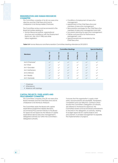#### **REMUNERATION AND HUMAN RESOURCES COMMITTEE**

This Committee comprises of six (6) non-executive directors and the Chief Executive and its chairperson is Ms Nompumelelo Chamane.

The Committee reviews and recommends to the Board all matters relating to:

- Human Resources policies, organisational structure and compliance with the Employment Equity Act, (No. 55 of 1998) and other labour legislation,
- Conditions of employment of executive management,
- Appointment of the Chief Executive and members of executive management,
- Remuneration packages for the Chief Executive, members of executive management and staff,
- Succession planning for executive management, • Policies and practices for Performance
- Management, and • Special rewards recommended by the
- Chief Executive.

**Table 5.4:** Human Resource and Remuneration Committee Meeting attendance 2012/2013

|                           |                                 | <b>Special Meeting</b>          |                 |              |              |                           |
|---------------------------|---------------------------------|---------------------------------|-----------------|--------------|--------------|---------------------------|
| <b>Members</b>            | $\mathbf{\Omega}$<br>-Sel<br>So | $\mathbf{\Omega}$<br>7-Oct<br>÷ | S<br>$20 - Feb$ | ∾<br>4       | 3<br>Ş       | $\overline{12}$<br>13-Dec |
| Ms N Chamane <sup>1</sup> | $\checkmark$                    | $\checkmark$                    | $\checkmark$    | $\checkmark$ | $\checkmark$ | $\checkmark$              |
| Ms T Shezi                | $\checkmark$                    | $\checkmark$                    | $\checkmark$    |              |              | $\sqrt{}$                 |
| Mr V Gounden              | $\checkmark$                    | $\checkmark$                    | $\checkmark$    | $\neq$       |              | $\neq$                    |
| Ms Z Mathenjwa            | $\checkmark$                    | $\sqrt{}$                       | $\checkmark$    |              |              | $\checkmark$              |
| Mr G Atkinson             | $\checkmark$                    | $\checkmark$                    | $\checkmark$    |              |              |                           |
| Mr V Reddy                | $\checkmark$                    | $\checkmark$                    | $\checkmark$    |              |              | $\sqrt{}$                 |
| Mr C Gamede               |                                 |                                 | $\neq$          |              |              |                           |

<sup>1</sup> Chairman

 $\times$  Attendance

≠ Absence with apology

#### **CAPITAL PROJECTS, FIXED ASSETS AND PROCUREMENT COMMITTEE**

This Committee comprises nine (9) non-executive Board members and the Chief Executive and its chairperson is Ms Nombuso Afolayan.

The Committee assists the Board with capital expenditure programme related decisions, recommends Procurement Policies to the Board for approval and approves the release of capital expenditure above executive management's delegated authority but within the Committee's delegated authority.

It ensures that the organisation's supply chain policy and procedures are equitable, transparent, competitive and cost effective. Contracts which exceed the Committee's Delegation of Authority are referred to the Board for approval. The Committee reviews and recommends amendments to the limits in the delegation of authority, relating to budget approvals for capital projects and procurement, to enable management to expedite the implementation of projects.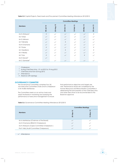**Table 5.5:** Capital Projects, Fixed Assets and Procurement Committee Meeting Attendance 2012/2013

|                            | <b>Committee Meetings</b>                 |              |                           |               |              |                   |  |  |  |
|----------------------------|-------------------------------------------|--------------|---------------------------|---------------|--------------|-------------------|--|--|--|
| <b>Members</b>             | $\overline{\mathbf{z}}$<br>$03 - Jul - ?$ | 22-Aug-12    | $\overline{2}$<br>24-Oct- | 13<br>13-Feb- | S<br>20-Mar  | S<br>$25 - Jun -$ |  |  |  |
| Ms N Afolayan <sup>1</sup> | $\neq$                                    | $\checkmark$ | $\checkmark$              | $\checkmark$  | $\checkmark$ | $\neq$            |  |  |  |
| Ms T Shezi                 | $\checkmark$                              | $\checkmark$ | $\checkmark$              | $\checkmark$  | $\checkmark$ | $\checkmark$      |  |  |  |
| Mr G Atkinson              | $\checkmark$                              | $\checkmark$ | $\checkmark$              | $\checkmark$  | $\checkmark$ |                   |  |  |  |
| Mr T Nkhahle               | $\checkmark$                              | $\checkmark$ | $\neq$                    | $\checkmark$  | $\checkmark$ |                   |  |  |  |
| Ms N Chamane               | $\checkmark$                              | $\checkmark$ | $\checkmark$              | $\checkmark$  | $\checkmark$ |                   |  |  |  |
| Dr T Dube                  | $\neq$                                    | $\checkmark$ | $\checkmark$              | $\checkmark$  | $\checkmark$ | $\neq$            |  |  |  |
| Mr I Nxedlana              | $\checkmark$                              | $\checkmark$ | $\neq$                    | $\checkmark$  | $\checkmark$ | $\neq$            |  |  |  |
| Mr V Reddy                 | $\checkmark$                              | $\checkmark$ | $\checkmark$              | $\checkmark$  | $\checkmark$ | $\checkmark$      |  |  |  |
| Mr T Zulu                  | $\neq$                                    | $\checkmark$ | $\checkmark$              | $\checkmark$  | $\neq$       |                   |  |  |  |
| Ms N Gevers <sup>2</sup>   | $\checkmark$                              |              |                           |               |              |                   |  |  |  |
| Mr C Gamede <sup>3</sup>   |                                           | $\checkmark$ |                           |               | $\checkmark$ |                   |  |  |  |

#### <sup>1</sup> Chairperson

- <sup>2</sup> Acting Chief Executive 01-Jul-2012 to 19-Aug-2012
- <sup>3</sup> Chief Executive from 20-Aug-2012
- $\sqrt{}$  Attendance
- ≠ Absence with apology

#### **GOVERNANCE COMMITTEE**

The Governance Committee comprises four (4) non-executive Committee Chairs and its chairperson is Mr Andile Mahlalutye.

The Committee meets on an ad-hoc basis and assists the Board in monitoring and assessing the performance of executive management to ensure

that performance objectives and targets are met. Performance results are considered by the Human Resources and Remuneration Committee in determining the remuneration of the Chief Executive and other executives to be recommended to the Board for approval.

**Table 5.6:** Governance Committee Meeting Attendance 2012/2013

|                                             | <b>Committee Meetings</b> |                           |  |  |  |
|---------------------------------------------|---------------------------|---------------------------|--|--|--|
| <b>Members</b>                              | $\sim$<br>Φ<br>25         | ∾<br>0<br>$\overline{13}$ |  |  |  |
| Mr A Mahlalutye (Chairman of the Board)     |                           |                           |  |  |  |
| Ms N Chamane (REMCO Chairperson)            |                           |                           |  |  |  |
| Ms N Afolayan (Capex Committee Chairperson) |                           |                           |  |  |  |
| Prof I Vally (Audit Committee Chairperson)  |                           |                           |  |  |  |
|                                             |                           |                           |  |  |  |

 $\sqrt{}$  Attendance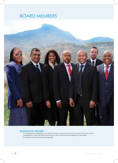## BOARD MEMBERS



#### **DELEGATION OF AUTHORITY**

A comprehensive delegation of authority framework governs the authority levels for the Board and management. These are exercised through various board and management committees. The Board reviews the framework regularly.

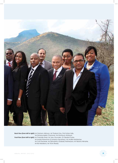

**Back Row (from left to right):** Mr Graham Atkinson, Mr Thabani Zulu, Prof Imtiaz Vally, Ms Nompumelelo Chamane, Ms Nombuso Afolayan **Front Row (from left to right):** Ms Thokozile Shezi, Mr Vasu Gounden, Dr Takalani Dube, Mr Mulalo Razwinani (Company Secretary), Mr Andile Mahlalutye, Mr Cyril Gamede, Ms Ziphozethu (Gabsie) Mathenjwa, Mr Teboho Nkhahle, Mr Ike Nxedlana, Mr Visvin Reddy

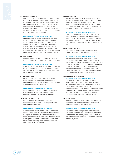#### **MR ANDILE MAHLALUTYE**

MA Financial Management (London); MBL (UNISA); Graduate Diploma in Company Direction (GIMT); BSc Quantity Surveying (UCT); Certificate in NGO Development and Management (Israel); A Project Management Professional (PMP) & Professional Quantity Surveyor (PrQS) ; Programme Certificate on Economic Regulation from the London School of Economics and Political Science.

#### *Appointed for 1st Board term in June 2009.*

Non-executive Chairman of Umgeni Water Board since 2009; MD Ubudlelwane Capital Investments since 2010; Mvula Trust CEO from 2007 to 2010; Coega Development Corporation Executive from 2003 to 2007; General Manager/Project Leader with Blue IQ from 2000 to 2003; A member of the Gauteng Gambling Board since 2011; A member of North West Provincial Audit Committee since 2009.

#### **PROF IMTIAZ VALLY**

Master of Accountancy; Chartered Accountant (SA); Chartered Management Accountant (ACMA).

#### *Appointed for 1st Board term in June 2009.*

Chairman of Umgeni Water Board Audit Committee since 2009; Professor of Management Accounting and Finance at UKZN. Member of Board of Trustees of UKZN Retirement Fund.

#### **MS THOKOZILE SHEZI**

BSc Social Psychology and Education; MA in Measurement and Evaluation; Management Development Diploma (Wits); Project Management Certificate (University of Pretoria).

#### *Appointed for 2nd Board term in June 2009.*

Senior Manager KZN Department of Agriculture, Environment and Rural Development; Non-Executive Director KZN Playhouse Company.

#### **MS NOMBUSO AFOLAYAN**

MBA (Finance) Luton University; Executive Leadership Development (UCT); Organisational Development Practitioner.

#### *Appointed for 2nd Board term in June 2009.*

Chairperson of Umgeni Water CAPEX Committee since 2009. Founder and Executive Chairperson of FS Capital Investments; Chairperson of KwaZulu-Natal Sharks Board; Non-Executive Director at Ithala Development Finance Corporation; Executive at multinational shipping, maritime and petroleum companies in African markets.

#### **DR TAKALANI DUBE**

MBChB, Medical (UKZN); Diploma in Anaesthesia (DASA); Diploma in Health Services Management (UKZN); Certificate in Business Development and Management (eThekwini Business Development); Postgraduate Diploma in HIV Management in the Workplace (Stellenbosch University).

#### Appointed for 1<sup>st</sup> Board term in June 2009.

Director of eThekwini Community Church since 2005; Founder and President of Centre of HOPE (HIV and Community Development Organisation) since 2000; President of Women of Virtue (Women Empowerment and Investment Organisation) since 2002.

#### **MR GRAHAM ATKINSON**

BSc Civil Engineering (UKZN); Post-Graduate Diploma in Town and Regional Planning (UKZN).

#### *Appointed for 1st Board term in June 2009.*

Member of KZN Planning and Development Commission from 1998 to 2004; City Engineer of Pietermaritzburg from 1977 to 1986; Chief Executive of Umgeni Water from 1987 to 1994; Board Member of Umgeni Water from 1978 to 1986; Honorary Member of the Water Institute of Southern Africa (WISA) since 2002; Honorary member of the former Union of African Water Suppliers (UADE).

#### **MS NOMPUMELELO CHAMANE**

*Appointed for 1st Board term in June 2009.*

Chairperson of Umgeni Water Board HR and Remuneration Committee since 2009. Councillor with eThekwini Municipality. Experienced liaison officer with provincial structures of COSATU. Member of Albert Luthuli Hospital Committee. Board member of EU-funded Cato Manor Development Association (CMDA); Chairperson of Finance Committee of St Benedict Catholic Church.

#### **MR VISVIN REDDY**

Educator (Mathematics & Computer Science) by profession. Various Diplomas and Certificates in Management and Communications.

#### Appointed for 1<sup>st</sup> Board term in June 2009.

Seventeen years local government experience. Served on the Executive Committee of eThekwini Metropolitan Municipality as well as Chairman of the Infrastructure Committee. A member of various community bodies.

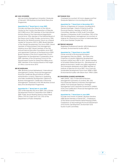#### **MR VASU GOUNDEN**

MA Law (LLM) (Georgetown University); Graduate of Harvard / Wits Business School Senior Executive Programme.

#### *Appointed for 3rd Board term in June 2009.*

Founder and Executive Director of the African Centre for the Constructive Resolution of Disputes (ACCORD) since 1992; Member of the International Advisory Board of the International Negotiation Journal since 1996; Member of the Editorial Board of the Peace and Conflict Studies Journal since 1996; Elected by the World Economic Forum as a Global Leader for Tomorrow (GLT) in 2000. Board Member of the Gandhi Development Trust since 2003; Board member of Finland-based Crisis Management Initiative since 2007; Board member of the Old Mutual Science Education Foundation since 2007 and appointed Chairman of the Board since 2009; Board member of the Dutch based Inter-Church Organisation for Development Cooperation since 2009; Member of the Governing Council of the Hawaii based Centre for Global Non-Killing since 2009; Member of the Advisory Board of the Insight on Africa Journal since 2010.

#### **MR IKE NXEDLANA**

MBA (Business School Netherlands / International Management Centre); Financial Management Practices Certificate (Royal Institute of Public Administration London); Diplomas in Marketing and Sales Leadership Development; Diploma in Business Management; Certificate in Personnel Management; Graduate of the Wits Business School Executive Development Programme.

#### Appointed for 1<sup>st</sup> Board term in June 2009.

CEO of Richards Bay IDZ since 2009; CEO of Ithala Development Finance Corporation from 2008 to 2009; Public Sector Banking Head at Absa Head Office; CFO for Cape Town City; CFO of the Department of Public Enterprises.

#### **MR THABANI ZULU**

Chartered Accountant; B.Comm degree and Post Graduate Diploma in Accounting from UKZN.

#### Appointed for 1st Board term in December 2011.

Director of Ngubane & Company (Auditing firm); General Manager / Head of Internal Audit for Provincial Treasury; Member of SAFCOL Audit Committee; Member of UDW Audit Committee; Member of Ndwedwe Audit Committee; CEO of the KZN Gambling Board. Management Accountant of Unilever SA; Financial Accountant at Mercedes Benz of SA (now Daimler Chrysler SA).

#### **MR TEBOHO NKHAHLE**

Registered Professional Scientist; MPhil Stellenbosch University; Environmental Auditor (IRCA).

#### Appointed for 1<sup>st</sup> Board term in June 2009.

Owner and MD of Environmental Impact Management Services (EIMS); Non-Executive Chairman of Lesotho Highlands Development Authority (LHDA) from 2007 to 2011; Board member of US-based Global Decisions Inc. (Development of global environment, health and safety regulations and standards database) since 2008; Member of Institute of Directors-SA since 2007; Vice Chair IoD Sustainable Development Forum from 2008 to 2009; Environmental Auditor with Eskom from 1998 to 2004.

#### **MS ZIPHOZETHU (GABSIE) MATHENJWA**

MBA (UKZN); MSc in International Business Management (University of London); BSc (UZ); Post-Graduate Diploma in Business Management (UKZN); Post-Graduate Diploma in Strategic Management and Corporate Governance (UNISA/ ICSA) and Certificate in Financial Management and Investment (UNISA).

#### *Appointed for 1st Board term in June 2009.*

Founder and Owner of Gabsie's Business Solutions (GBS) Board Member of Denel SOC ; Chairperson of the Denel owned Pretoria Metal Pressings (PMP); Chairperson of Mpumalanga Provincial Department of Economic Development, Environment and Tourism Audit Committee.

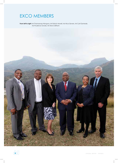## EXCO MEMBERS

**From left to right:** Mr Thamsanqa Hlongwa, Mr Ednick Msweli, Ms Nica Gevers, Mr Cyril Gamede, Ms Prudence Gwala, Mr Steve Gillham